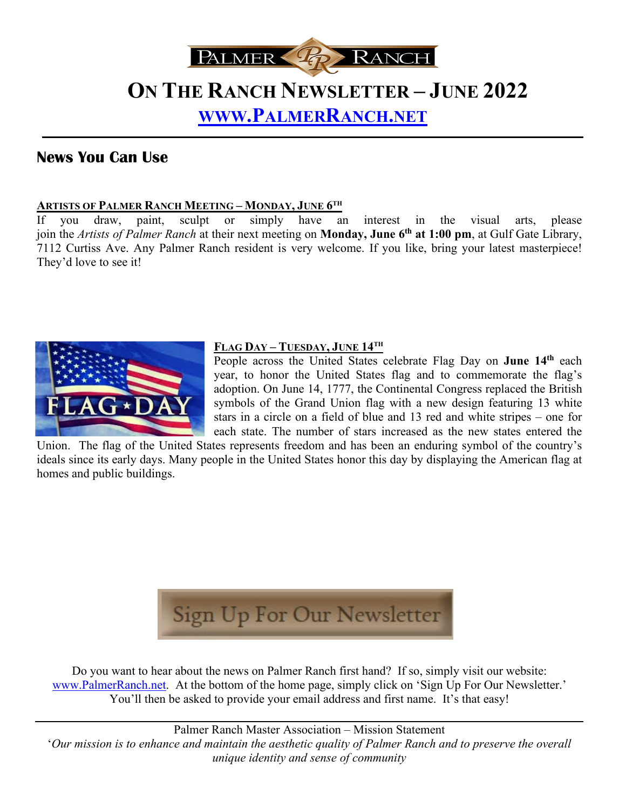

# **ON THE RANCH NEWSLETTER – JUNE 2022 [WWW.PALMERRANCH.NET](http://www.palmerranch.net/)**

### **News You Can Use**

#### **ARTISTS OF PALMER RANCH MEETING – MONDAY, JUNE 6TH**

If you draw, paint, sculpt or simply have an interest in the visual arts, please join the *Artists of Palmer Ranch* at their next meeting on **Monday, June 6th at 1:00 pm**, at Gulf Gate Library, 7112 Curtiss Ave. Any Palmer Ranch resident is very welcome. If you like, bring your latest masterpiece! They'd love to see it!



#### **FLAG DAY – TUESDAY, JUNE 14TH**

People across the United States celebrate Flag Day on **June 14th** each year, to honor the United States flag and to commemorate the flag's adoption. On June 14, 1777, the Continental Congress replaced the British symbols of the Grand Union flag with a new design featuring 13 white stars in a circle on a field of blue and 13 red and white stripes – one for each state. The number of stars increased as the new states entered the

Union. The flag of the United States represents freedom and has been an enduring symbol of the country's ideals since its early days. Many people in the United States honor this day by displaying the American flag at homes and public buildings.



Do you want to hear about the news on Palmer Ranch first hand? If so, simply visit our website: [www.PalmerRanch.net.](http://www.palmerranch.net/) At the bottom of the home page, simply click on 'Sign Up For Our Newsletter.' You'll then be asked to provide your email address and first name. It's that easy!

Palmer Ranch Master Association – Mission Statement '*Our mission is to enhance and maintain the aesthetic quality of Palmer Ranch and to preserve the overall unique identity and sense of community*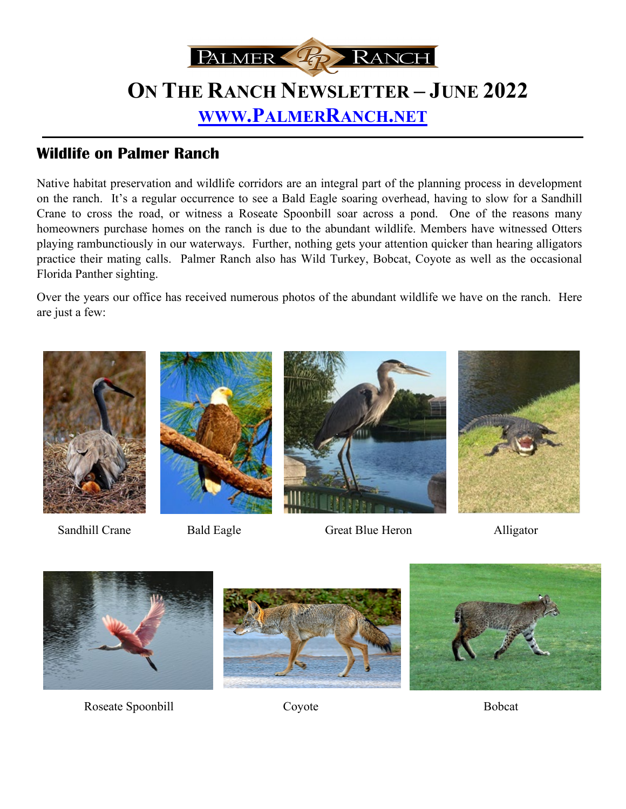

## **Wildlife on Palmer Ranch**

Native habitat preservation and wildlife corridors are an integral part of the planning process in development on the ranch. It's a regular occurrence to see a Bald Eagle soaring overhead, having to slow for a Sandhill Crane to cross the road, or witness a Roseate Spoonbill soar across a pond. One of the reasons many homeowners purchase homes on the ranch is due to the abundant wildlife. Members have witnessed Otters playing rambunctiously in our waterways. Further, nothing gets your attention quicker than hearing alligators practice their mating calls. Palmer Ranch also has Wild Turkey, Bobcat, Coyote as well as the occasional Florida Panther sighting.

Over the years our office has received numerous photos of the abundant wildlife we have on the ranch. Here are just a few:







Sandhill Crane Bald Eagle Great Blue Heron Alligator





Roseate Spoonbill Coyote Coversaching Coversaching Bobcat